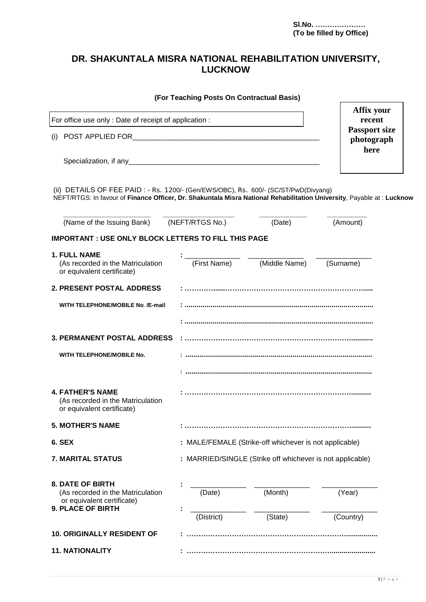# **DR. SHAKUNTALA MISRA NATIONAL REHABILITATION UNIVERSITY, LUCKNOW**

|                                                                                                                                                                                                                | (For Teaching Posts On Contractual Basis)                 |                                                        |                      |  |  |
|----------------------------------------------------------------------------------------------------------------------------------------------------------------------------------------------------------------|-----------------------------------------------------------|--------------------------------------------------------|----------------------|--|--|
| For office use only : Date of receipt of application :                                                                                                                                                         |                                                           |                                                        | Affix your<br>recent |  |  |
|                                                                                                                                                                                                                | <b>Passport size</b><br>photograph<br>here                |                                                        |                      |  |  |
|                                                                                                                                                                                                                |                                                           |                                                        |                      |  |  |
| (ii) DETAILS OF FEE PAID : - Rs. 1200/- (Gen/EWS/OBC), Rs. 600/- (SC/ST/PwD(Divyang)<br>NEFT/RTGS: In favour of Finance Officer, Dr. Shakuntala Misra National Rehabilitation University, Payable at : Lucknow |                                                           |                                                        |                      |  |  |
| (Name of the Issuing Bank) (NEFT/RTGS No.)                                                                                                                                                                     |                                                           | (Date)                                                 | (Amount)             |  |  |
| <b>IMPORTANT: USE ONLY BLOCK LETTERS TO FILL THIS PAGE</b>                                                                                                                                                     |                                                           |                                                        |                      |  |  |
| <b>1. FULL NAME</b><br>(As recorded in the Matriculation<br>or equivalent certificate)                                                                                                                         |                                                           | (First Name) (Middle Name)                             | (Surname)            |  |  |
| 2. PRESENT POSTAL ADDRESS                                                                                                                                                                                      |                                                           |                                                        |                      |  |  |
| WITH TELEPHONE/MOBILE No. /E-mail                                                                                                                                                                              |                                                           |                                                        |                      |  |  |
|                                                                                                                                                                                                                |                                                           |                                                        |                      |  |  |
| <b>3. PERMANENT POSTAL ADDRESS</b>                                                                                                                                                                             |                                                           |                                                        |                      |  |  |
| WITH TELEPHONE/MOBILE No.                                                                                                                                                                                      |                                                           |                                                        |                      |  |  |
|                                                                                                                                                                                                                |                                                           |                                                        |                      |  |  |
| <b>4. FATHER'S NAME</b><br>(As recorded in the Matriculation<br>or equivalent certificate)                                                                                                                     |                                                           |                                                        |                      |  |  |
| <b>5. MOTHER'S NAME</b>                                                                                                                                                                                        |                                                           |                                                        |                      |  |  |
| 6. SEX                                                                                                                                                                                                         |                                                           | : MALE/FEMALE (Strike-off whichever is not applicable) |                      |  |  |
| <b>7. MARITAL STATUS</b>                                                                                                                                                                                       | : MARRIED/SINGLE (Strike off whichever is not applicable) |                                                        |                      |  |  |
| <b>8. DATE OF BIRTH</b><br>(As recorded in the Matriculation<br>or equivalent certificate)<br><b>9. PLACE OF BIRTH</b>                                                                                         | (Date)                                                    | (Month)                                                | (Year)               |  |  |
|                                                                                                                                                                                                                | (District)                                                | (State)                                                | (Country)            |  |  |
| <b>10. ORIGINALLY RESIDENT OF</b>                                                                                                                                                                              |                                                           |                                                        |                      |  |  |
| <b>11. NATIONALITY</b>                                                                                                                                                                                         |                                                           |                                                        |                      |  |  |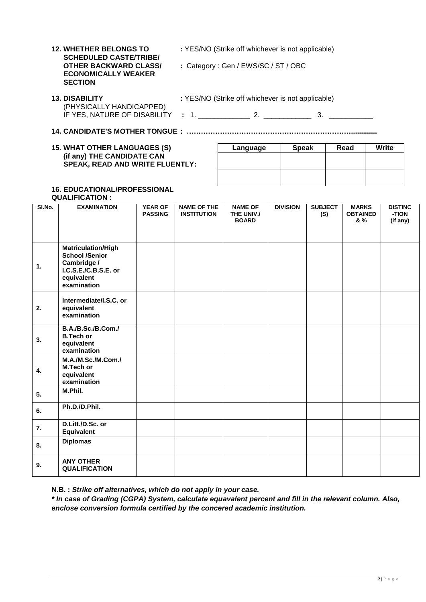**12. WHETHER BELONGS TO** : YES/NO (Strike off whichever is not applicable) **SCHEDULED CASTE/TRIBE/ ECONOMICALLY WEAKER SECTION**

: Category : Gen / EWS/SC / ST / OBC

| <b>13. DISABILITY</b>                                         | : YES/NO (Strike off whichever is not applicable) |  |
|---------------------------------------------------------------|---------------------------------------------------|--|
| (PHYSICALLY HANDICAPPED)<br>IF YES, NATURE OF DISABILITY : 1. |                                                   |  |

**14. CANDIDATE'S MOTHER TONGUE : …………………………………………………………….............**

| <b>15. WHAT OTHER LANGUAGES (S)</b>    |  |
|----------------------------------------|--|
| (if any) THE CANDIDATE CAN             |  |
| <b>SPEAK, READ AND WRITE FLUENTLY:</b> |  |

| Language | <b>Speak</b> | Read | <b>Write</b> |
|----------|--------------|------|--------------|
|          |              |      |              |
|          |              |      |              |
|          |              |      |              |
|          |              |      |              |

## **16. EDUCATIONAL/PROFESSIONAL**

**QUALIFICATION :**

| SI.No. | <b>EXAMINATION</b>                                                                                                     | <b>YEAR OF</b><br><b>PASSING</b> | <b>NAME OF THE</b><br><b>INSTITUTION</b> | <b>NAME OF</b><br>THE UNIV./<br><b>BOARD</b> | <b>DIVISION</b> | <b>SUBJECT</b><br>(S) | <b>MARKS</b><br><b>OBTAINED</b><br>& % | <b>DISTINC</b><br>-TION<br>(if any) |
|--------|------------------------------------------------------------------------------------------------------------------------|----------------------------------|------------------------------------------|----------------------------------------------|-----------------|-----------------------|----------------------------------------|-------------------------------------|
| 1.     | <b>Matriculation/High</b><br><b>School /Senior</b><br>Cambridge /<br>I.C.S.E./C.B.S.E. or<br>equivalent<br>examination |                                  |                                          |                                              |                 |                       |                                        |                                     |
| 2.     | Intermediate/I.S.C. or<br>equivalent<br>examination                                                                    |                                  |                                          |                                              |                 |                       |                                        |                                     |
| 3.     | B.A./B.Sc./B.Com./<br><b>B.Tech or</b><br>equivalent<br>examination                                                    |                                  |                                          |                                              |                 |                       |                                        |                                     |
| 4.     | M.A./M.Sc./M.Com./<br>M.Tech or<br>equivalent<br>examination                                                           |                                  |                                          |                                              |                 |                       |                                        |                                     |
| 5.     | M.Phil.                                                                                                                |                                  |                                          |                                              |                 |                       |                                        |                                     |
| 6.     | Ph.D./D.Phil.                                                                                                          |                                  |                                          |                                              |                 |                       |                                        |                                     |
| 7.     | D.Litt./D.Sc. or<br>Equivalent                                                                                         |                                  |                                          |                                              |                 |                       |                                        |                                     |
| 8.     | <b>Diplomas</b>                                                                                                        |                                  |                                          |                                              |                 |                       |                                        |                                     |
| 9.     | <b>ANY OTHER</b><br><b>QUALIFICATION</b>                                                                               |                                  |                                          |                                              |                 |                       |                                        |                                     |

**N.B. :** *Strike off alternatives, which do not apply in your case.*

*\* In case of Grading (CGPA) System, calculate equavalent percent and fill in the relevant column. Also, enclose conversion formula certified by the concered academic institution.*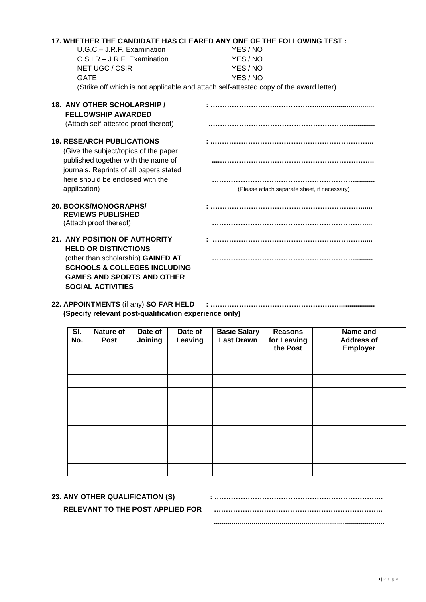| 17. WHETHER THE CANDIDATE HAS CLEARED ANY ONE OF THE FOLLOWING TEST :<br>U.G.C. - J.R.F. Examination<br>C.S.I.R. - J.R.F. Examination<br>NET UGC / CSIR<br><b>GATE</b>                                         | YES / NO<br>YES / NO<br>YES / NO<br>YES / NO<br>(Strike off which is not applicable and attach self-attested copy of the award letter) |
|----------------------------------------------------------------------------------------------------------------------------------------------------------------------------------------------------------------|----------------------------------------------------------------------------------------------------------------------------------------|
| 18. ANY OTHER SCHOLARSHIP /<br><b>FELLOWSHIP AWARDED</b><br>(Attach self-attested proof thereof)                                                                                                               |                                                                                                                                        |
| <b>19. RESEARCH PUBLICATIONS</b><br>(Give the subject/topics of the paper<br>published together with the name of<br>journals. Reprints of all papers stated<br>here should be enclosed with the                |                                                                                                                                        |
| application)<br><b>20. BOOKS/MONOGRAPHS/</b><br><b>REVIEWS PUBLISHED</b><br>(Attach proof thereof)                                                                                                             | (Please attach separate sheet, if necessary)                                                                                           |
| 21. ANY POSITION OF AUTHORITY<br><b>HELD OR DISTINCTIONS</b><br>(other than scholarship) GAINED AT<br><b>SCHOOLS &amp; COLLEGES INCLUDING</b><br><b>GAMES AND SPORTS AND OTHER</b><br><b>SOCIAL ACTIVITIES</b> |                                                                                                                                        |

**22. APPOINTMENTS** (if any) **SO FAR HELD : ……………………………………………….................. (Specify relevant post-qualification experience only)**

| SI.<br>No. | <b>Nature of</b><br><b>Post</b> | Date of<br>Joining | Date of<br>Leaving | <b>Basic Salary</b><br><b>Last Drawn</b> | <b>Reasons</b><br>for Leaving<br>the Post | Name and<br><b>Address of</b><br>Employer |
|------------|---------------------------------|--------------------|--------------------|------------------------------------------|-------------------------------------------|-------------------------------------------|
|            |                                 |                    |                    |                                          |                                           |                                           |
|            |                                 |                    |                    |                                          |                                           |                                           |
|            |                                 |                    |                    |                                          |                                           |                                           |
|            |                                 |                    |                    |                                          |                                           |                                           |
|            |                                 |                    |                    |                                          |                                           |                                           |
|            |                                 |                    |                    |                                          |                                           |                                           |
|            |                                 |                    |                    |                                          |                                           |                                           |
|            |                                 |                    |                    |                                          |                                           |                                           |
|            |                                 |                    |                    |                                          |                                           |                                           |

## **23. ANY OTHER QUALIFICATION (S)**

#### **RELEVANT TO THE POST APPLIED FOR**